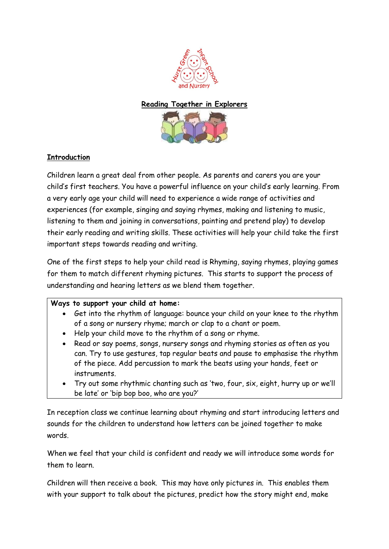

# **Reading Together in Explorers**



## **Introduction**

Children learn a great deal from other people. As parents and carers you are your child's first teachers. You have a powerful influence on your child's early learning. From a very early age your child will need to experience a wide range of activities and experiences (for example, singing and saying rhymes, making and listening to music, listening to them and joining in conversations, painting and pretend play) to develop their early reading and writing skills. These activities will help your child take the first important steps towards reading and writing.

One of the first steps to help your child read is Rhyming, saying rhymes, playing games for them to match different rhyming pictures. This starts to support the process of understanding and hearing letters as we blend them together.

#### **Ways to support your child at home:**

- Get into the rhythm of language: bounce your child on your knee to the rhythm of a song or nursery rhyme; march or clap to a chant or poem.
- Help your child move to the rhythm of a song or rhyme.
- Read or say poems, songs, nursery songs and rhyming stories as often as you can. Try to use gestures, tap regular beats and pause to emphasise the rhythm of the piece. Add percussion to mark the beats using your hands, feet or instruments.
- Try out some rhythmic chanting such as 'two, four, six, eight, hurry up or we'll be late' or 'bip bop boo, who are you?'

In reception class we continue learning about rhyming and start introducing letters and sounds for the children to understand how letters can be joined together to make words.

When we feel that your child is confident and ready we will introduce some words for them to learn.

Children will then receive a book. This may have only pictures in. This enables them with your support to talk about the pictures, predict how the story might end, make